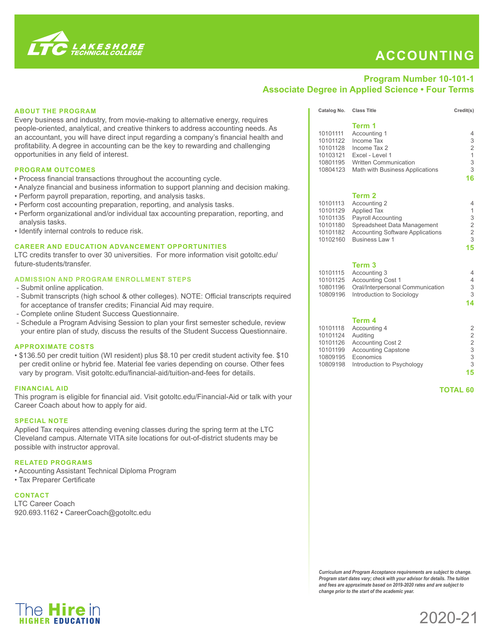

# **ACCOUNTING**

## **Program Number 10-101-1 Associate Degree in Applied Science • Four Terms**

## **ABOUT THE PROGRAM**

Every business and industry, from movie-making to alternative energy, requires people-oriented, analytical, and creative thinkers to address accounting needs. As an accountant, you will have direct input regarding a company's financial health and profitability. A degree in accounting can be the key to rewarding and challenging opportunities in any field of interest.

#### **PROGRAM OUTCOMES**

- Process financial transactions throughout the accounting cycle.
- Analyze financial and business information to support planning and decision making.
- Perform payroll preparation, reporting, and analysis tasks.
- Perform cost accounting preparation, reporting, and analysis tasks.
- Perform organizational and/or individual tax accounting preparation, reporting, and analysis tasks.
- Identify internal controls to reduce risk.

## **CAREER AND EDUCATION ADVANCEMENT OPPORTUNITIES**

LTC credits transfer to over 30 universities. For more information visit gotoltc.edu/ future-students/transfer.

## **ADMISSION AND PROGRAM ENROLLMENT STEPS**

- Submit online application.
- Submit transcripts (high school & other colleges). NOTE: Official transcripts required for acceptance of transfer credits; Financial Aid may require.
- Complete online Student Success Questionnaire.
- Schedule a Program Advising Session to plan your first semester schedule, review your entire plan of study, discuss the results of the Student Success Questionnaire.

#### **APPROXIMATE COSTS**

• \$136.50 per credit tuition (WI resident) plus \$8.10 per credit student activity fee. \$10 per credit online or hybrid fee. Material fee varies depending on course. Other fees vary by program. Visit gotoltc.edu/financial-aid/tuition-and-fees for details.

#### **FINANCIAL AID**

This program is eligible for financial aid. Visit gotoltc.edu/Financial-Aid or talk with your Career Coach about how to apply for aid.

#### **SPECIAL NOTE**

Applied Tax requires attending evening classes during the spring term at the LTC Cleveland campus. Alternate VITA site locations for out-of-district students may be possible with instructor approval.

## **RELATED PROGRAMS**

- Accounting Assistant Technical Diploma Program
- Tax Preparer Certificate

The **Hire** in **HIGHER FDUCATION** 

## **CONTACT**

LTC Career Coach 920.693.1162 • CareerCoach@gotoltc.edu

|          | Term 1                                  |                |
|----------|-----------------------------------------|----------------|
| 10101111 | Accounting 1                            | 4              |
| 10101122 | Income Tax                              | 3              |
| 10101128 | Income Tax 2                            | $\overline{2}$ |
| 10103121 | Excel - Level 1                         | 1              |
| 10801195 | <b>Written Communication</b>            | 3              |
| 10804123 | Math with Business Applications         | 3              |
|          |                                         | 16             |
|          | Term 2                                  |                |
| 10101113 | Accounting 2                            | 4              |
| 10101129 | <b>Applied Tax</b>                      | 1              |
| 10101135 | <b>Payroll Accounting</b>               | 3              |
| 10101180 | Spreadsheet Data Management             | 2              |
| 10101182 | <b>Accounting Software Applications</b> | 2              |
| 10102160 | <b>Business Law 1</b>                   | 3              |
|          |                                         | 15             |
|          |                                         |                |

Catalog No. Class Title Credit(s)

#### **Term 3**

| 10101115 Accounting 3                     |    |
|-------------------------------------------|----|
| 10101125 Accounting Cost 1                |    |
| 10801196 Oral/Interpersonal Communication | З  |
| 10809196 Introduction to Sociology        | 3  |
|                                           | 14 |

#### **Term 4**

|          | 10101118 Accounting 4               | 2  |
|----------|-------------------------------------|----|
| 10101124 | Auditing                            | 2  |
| 10101126 | <b>Accounting Cost 2</b>            | 2  |
| 10101199 | <b>Accounting Capstone</b>          | 3  |
| 10809195 | Economics                           | 3  |
|          | 10809198 Introduction to Psychology | 3  |
|          |                                     | 15 |
|          |                                     |    |

 **TOTAL 60**

*Curriculum and Program Acceptance requirements are subject to change. Program start dates vary; check with your advisor for details. The tuition and fees are approximate based on 2019-2020 rates and are subject to change prior to the start of the academic year.*